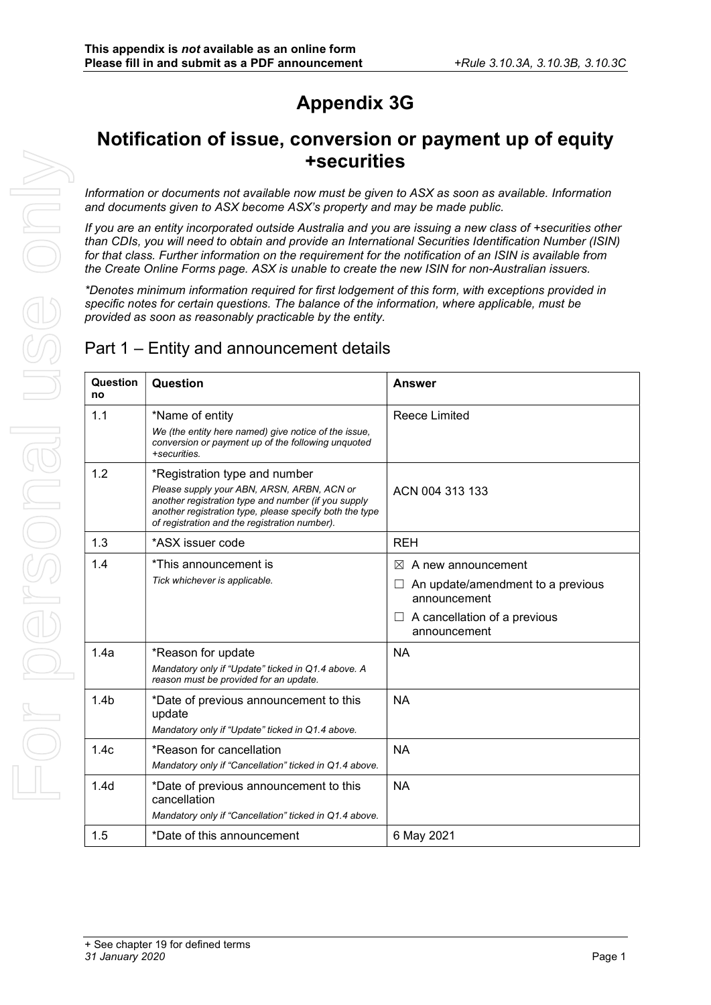# Appendix 3G

## Notification of issue, conversion or payment up of equity +securities

Information or documents not available now must be given to ASX as soon as available. Information and documents given to ASX become ASX's property and may be made public.

If you are an entity incorporated outside Australia and you are issuing a new class of +securities other than CDIs, you will need to obtain and provide an International Securities Identification Number (ISIN) for that class. Further information on the requirement for the notification of an ISIN is available from the Create Online Forms page. ASX is unable to create the new ISIN for non-Australian issuers.

\*Denotes minimum information required for first lodgement of this form, with exceptions provided in specific notes for certain questions. The balance of the information, where applicable, must be provided as soon as reasonably practicable by the entity.

### Part 1 – Entity and announcement details

| Question<br>no   | Question                                                                                                                                                                                                                                       | <b>Answer</b>                                                                                                                        |
|------------------|------------------------------------------------------------------------------------------------------------------------------------------------------------------------------------------------------------------------------------------------|--------------------------------------------------------------------------------------------------------------------------------------|
| 1.1              | *Name of entity<br>We (the entity here named) give notice of the issue,<br>conversion or payment up of the following unquoted<br>+securities.                                                                                                  | Reece Limited                                                                                                                        |
| 1.2              | *Registration type and number<br>Please supply your ABN, ARSN, ARBN, ACN or<br>another registration type and number (if you supply<br>another registration type, please specify both the type<br>of registration and the registration number). | ACN 004 313 133                                                                                                                      |
| 1.3              | *ASX issuer code                                                                                                                                                                                                                               | <b>REH</b>                                                                                                                           |
| 1.4              | *This announcement is<br>Tick whichever is applicable.                                                                                                                                                                                         | $\bowtie$<br>A new announcement<br>An update/amendment to a previous<br>announcement<br>A cancellation of a previous<br>announcement |
| 1.4a             | *Reason for update<br>Mandatory only if "Update" ticked in Q1.4 above. A<br>reason must be provided for an update.                                                                                                                             | <b>NA</b>                                                                                                                            |
| 1.4 <sub>b</sub> | *Date of previous announcement to this<br>update<br>Mandatory only if "Update" ticked in Q1.4 above.                                                                                                                                           | <b>NA</b>                                                                                                                            |
| 1.4 <sub>c</sub> | *Reason for cancellation<br>Mandatory only if "Cancellation" ticked in Q1.4 above.                                                                                                                                                             | <b>NA</b>                                                                                                                            |
| 1.4 <sub>d</sub> | *Date of previous announcement to this<br>cancellation<br>Mandatory only if "Cancellation" ticked in Q1.4 above.                                                                                                                               | <b>NA</b>                                                                                                                            |
| 1.5              | *Date of this announcement                                                                                                                                                                                                                     | 6 May 2021                                                                                                                           |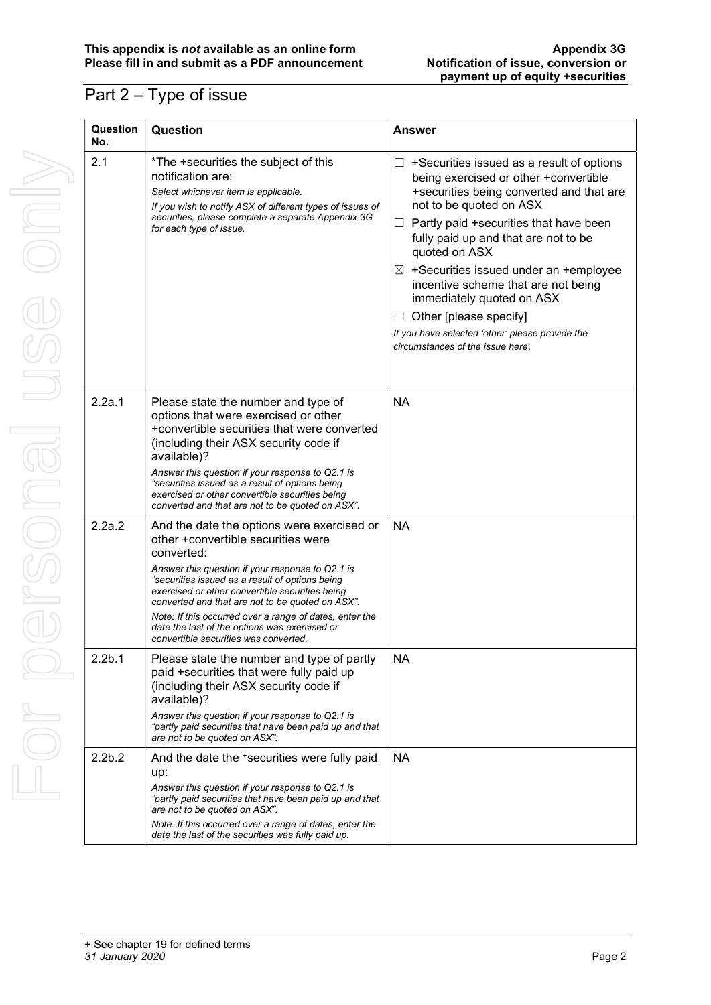### Part 2 – Type of issue

| Question<br>No.    | Question                                                                                                                                                                                                                                                                                                                                                                                                                                                          | <b>Answer</b>                                                                                                                                                                                                                                                                                                                                                                                                                                                                                                         |
|--------------------|-------------------------------------------------------------------------------------------------------------------------------------------------------------------------------------------------------------------------------------------------------------------------------------------------------------------------------------------------------------------------------------------------------------------------------------------------------------------|-----------------------------------------------------------------------------------------------------------------------------------------------------------------------------------------------------------------------------------------------------------------------------------------------------------------------------------------------------------------------------------------------------------------------------------------------------------------------------------------------------------------------|
| 2.1                | *The +securities the subject of this<br>notification are:<br>Select whichever item is applicable.<br>If you wish to notify ASX of different types of issues of<br>securities, please complete a separate Appendix 3G<br>for each type of issue.                                                                                                                                                                                                                   | +Securities issued as a result of options<br>ш<br>being exercised or other +convertible<br>+securities being converted and that are<br>not to be quoted on ASX<br>Partly paid +securities that have been<br>$\Box$<br>fully paid up and that are not to be<br>quoted on ASX<br>$\boxtimes$ +Securities issued under an +employee<br>incentive scheme that are not being<br>immediately quoted on ASX<br>Other [please specify]<br>If you have selected 'other' please provide the<br>circumstances of the issue here: |
| 2.2a.1             | Please state the number and type of<br>options that were exercised or other<br>+convertible securities that were converted<br>(including their ASX security code if<br>available)?<br>Answer this question if your response to Q2.1 is<br>"securities issued as a result of options being<br>exercised or other convertible securities being<br>converted and that are not to be quoted on ASX".                                                                  | <b>NA</b>                                                                                                                                                                                                                                                                                                                                                                                                                                                                                                             |
| 2.2a.2             | And the date the options were exercised or<br>other +convertible securities were<br>converted:<br>Answer this question if your response to Q2.1 is<br>"securities issued as a result of options being<br>exercised or other convertible securities being<br>converted and that are not to be quoted on ASX".<br>Note: If this occurred over a range of dates, enter the<br>date the last of the options was exercised or<br>convertible securities was converted. | <b>NA</b>                                                                                                                                                                                                                                                                                                                                                                                                                                                                                                             |
| 2.2 <sub>b.1</sub> | Please state the number and type of partly<br>paid +securities that were fully paid up<br>(including their ASX security code if<br>available)?<br>Answer this question if your response to Q2.1 is<br>"partly paid securities that have been paid up and that<br>are not to be quoted on ASX".                                                                                                                                                                    | <b>NA</b>                                                                                                                                                                                                                                                                                                                                                                                                                                                                                                             |
| 2.2 <sub>b.2</sub> | And the date the 'securities were fully paid<br>up:<br>Answer this question if your response to Q2.1 is<br>"partly paid securities that have been paid up and that<br>are not to be quoted on ASX".<br>Note: If this occurred over a range of dates, enter the<br>date the last of the securities was fully paid up.                                                                                                                                              | <b>NA</b>                                                                                                                                                                                                                                                                                                                                                                                                                                                                                                             |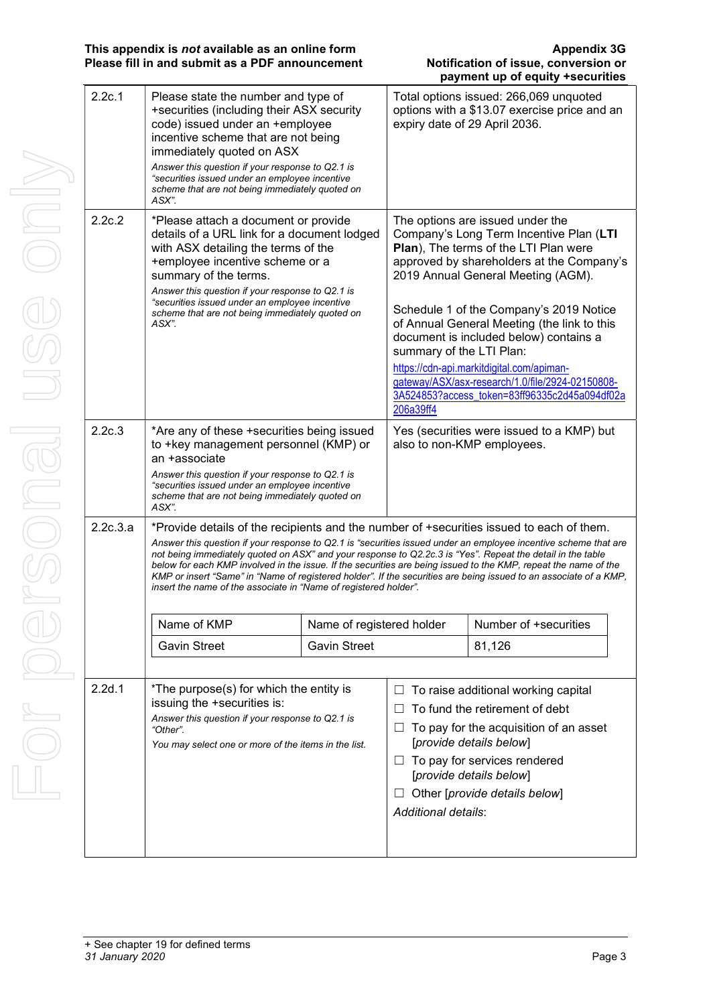|          |                                                                                                                                                                                                                                                                                                                                                                                                                                                                                                                                                                                                                                                      |                     |                                       | payment up or equity +securities                                                                                                                                                                                                                                                                                                                                                                                                                                                              |  |
|----------|------------------------------------------------------------------------------------------------------------------------------------------------------------------------------------------------------------------------------------------------------------------------------------------------------------------------------------------------------------------------------------------------------------------------------------------------------------------------------------------------------------------------------------------------------------------------------------------------------------------------------------------------------|---------------------|---------------------------------------|-----------------------------------------------------------------------------------------------------------------------------------------------------------------------------------------------------------------------------------------------------------------------------------------------------------------------------------------------------------------------------------------------------------------------------------------------------------------------------------------------|--|
| 2.2c.1   | Please state the number and type of<br>+securities (including their ASX security<br>code) issued under an +employee<br>incentive scheme that are not being<br>immediately quoted on ASX<br>Answer this question if your response to Q2.1 is<br>"securities issued under an employee incentive<br>scheme that are not being immediately quoted on<br>ASX".                                                                                                                                                                                                                                                                                            |                     |                                       | Total options issued: 266,069 unquoted<br>options with a \$13.07 exercise price and an<br>expiry date of 29 April 2036.                                                                                                                                                                                                                                                                                                                                                                       |  |
| 2.2c.2   | *Please attach a document or provide<br>details of a URL link for a document lodged<br>with ASX detailing the terms of the<br>+employee incentive scheme or a<br>summary of the terms.<br>Answer this question if your response to Q2.1 is<br>"securities issued under an employee incentive<br>scheme that are not being immediately quoted on<br>ASX".                                                                                                                                                                                                                                                                                             |                     | summary of the LTI Plan:<br>206a39ff4 | The options are issued under the<br>Company's Long Term Incentive Plan (LTI<br>Plan), The terms of the LTI Plan were<br>approved by shareholders at the Company's<br>2019 Annual General Meeting (AGM).<br>Schedule 1 of the Company's 2019 Notice<br>of Annual General Meeting (the link to this<br>document is included below) contains a<br>https://cdn-api.markitdigital.com/apiman-<br>gateway/ASX/asx-research/1.0/file/2924-02150808-<br>3A524853?access_token=83ff96335c2d45a094df02a |  |
| 2.2c.3   | *Are any of these +securities being issued<br>to +key management personnel (KMP) or<br>an +associate<br>Answer this question if your response to Q2.1 is<br>"securities issued under an employee incentive<br>scheme that are not being immediately quoted on<br>ASX".                                                                                                                                                                                                                                                                                                                                                                               |                     |                                       | Yes (securities were issued to a KMP) but<br>also to non-KMP employees.                                                                                                                                                                                                                                                                                                                                                                                                                       |  |
| 2.2c.3.a | *Provide details of the recipients and the number of +securities issued to each of them.<br>Answer this question if your response to Q2.1 is "securities issued under an employee incentive scheme that are<br>not being immediately quoted on ASX" and your response to Q2.2c.3 is "Yes". Repeat the detail in the table<br>below for each KMP involved in the issue. If the securities are being issued to the KMP, repeat the name of the<br>KMP or insert "Same" in "Name of registered holder". If the securities are being issued to an associate of a KMP,<br>insert the name of the associate in "Name of registered holder".<br>Name of KMP |                     | Name of registered holder             | Number of +securities                                                                                                                                                                                                                                                                                                                                                                                                                                                                         |  |
|          | <b>Gavin Street</b>                                                                                                                                                                                                                                                                                                                                                                                                                                                                                                                                                                                                                                  | <b>Gavin Street</b> |                                       | 81,126                                                                                                                                                                                                                                                                                                                                                                                                                                                                                        |  |
| 2.2d.1   | *The purpose(s) for which the entity is<br>issuing the +securities is:<br>Answer this question if your response to Q2.1 is<br>"Other".<br>You may select one or more of the items in the list.                                                                                                                                                                                                                                                                                                                                                                                                                                                       |                     | ш<br>ப<br><b>Additional details:</b>  | To raise additional working capital<br>To fund the retirement of debt<br>To pay for the acquisition of an asset<br>[provide details below]<br>$\Box$ To pay for services rendered<br>[provide details below]<br>Other [provide details below]                                                                                                                                                                                                                                                 |  |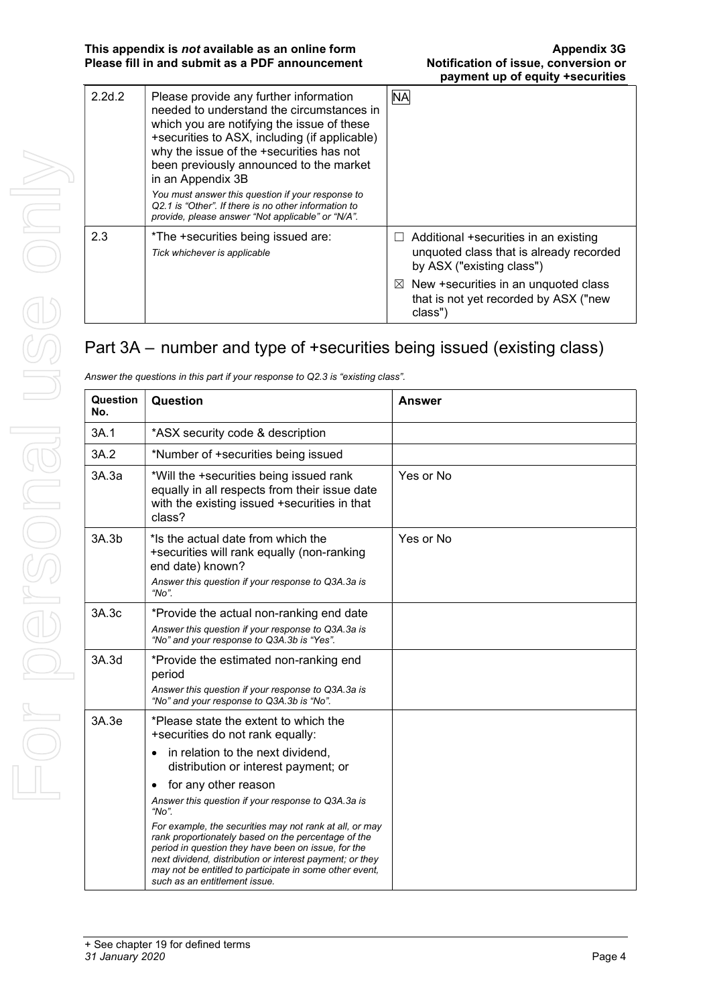This appendix is not available as an online form Appendix 3G Appendix 3G Please fill in and submit as a PDF announcement Notification of issue, conversion or

| 2.2d.2 | Please provide any further information<br>needed to understand the circumstances in<br>which you are notifying the issue of these<br>+securities to ASX, including (if applicable)<br>why the issue of the +securities has not<br>been previously announced to the market<br>in an Appendix 3B<br>You must answer this question if your response to<br>Q2.1 is "Other". If there is no other information to<br>provide, please answer "Not applicable" or "N/A". | <b>NA</b>                                                                                                     |
|--------|------------------------------------------------------------------------------------------------------------------------------------------------------------------------------------------------------------------------------------------------------------------------------------------------------------------------------------------------------------------------------------------------------------------------------------------------------------------|---------------------------------------------------------------------------------------------------------------|
| 2.3    | *The +securities being issued are:<br>Tick whichever is applicable                                                                                                                                                                                                                                                                                                                                                                                               | Additional +securities in an existing<br>unquoted class that is already recorded<br>by ASX ("existing class") |
|        |                                                                                                                                                                                                                                                                                                                                                                                                                                                                  | $\boxtimes$ New +securities in an unquoted class<br>that is not yet recorded by ASX ("new<br>class")          |

## Part 3A – number and type of +securities being issued (existing class)

| Question<br>No. | Question                                                                                                                                                                                                                                                                                                                           | <b>Answer</b> |
|-----------------|------------------------------------------------------------------------------------------------------------------------------------------------------------------------------------------------------------------------------------------------------------------------------------------------------------------------------------|---------------|
| 3A.1            | *ASX security code & description                                                                                                                                                                                                                                                                                                   |               |
| 3A.2            | *Number of +securities being issued                                                                                                                                                                                                                                                                                                |               |
| 3A.3a           | *Will the +securities being issued rank<br>equally in all respects from their issue date<br>with the existing issued +securities in that<br>class?                                                                                                                                                                                 | Yes or No     |
| 3A.3b           | *Is the actual date from which the<br>+securities will rank equally (non-ranking<br>end date) known?<br>Answer this question if your response to Q3A.3a is<br>" $No$ ".                                                                                                                                                            | Yes or No     |
| 3A.3c           | *Provide the actual non-ranking end date<br>Answer this question if your response to Q3A.3a is<br>"No" and your response to Q3A.3b is "Yes".                                                                                                                                                                                       |               |
| 3A.3d           | *Provide the estimated non-ranking end<br>period<br>Answer this question if your response to Q3A.3a is<br>"No" and your response to Q3A.3b is "No".                                                                                                                                                                                |               |
| 3A.3e           | *Please state the extent to which the<br>+securities do not rank equally:<br>in relation to the next dividend,<br>$\bullet$<br>distribution or interest payment; or<br>for any other reason<br>$\bullet$<br>Answer this question if your response to Q3A.3a is<br>"No".<br>For example, the securities may not rank at all, or may |               |
|                 | rank proportionately based on the percentage of the<br>period in question they have been on issue, for the<br>next dividend, distribution or interest payment; or they<br>may not be entitled to participate in some other event,<br>such as an entitlement issue.                                                                 |               |

Answer the questions in this part if your response to Q2.3 is "existing class".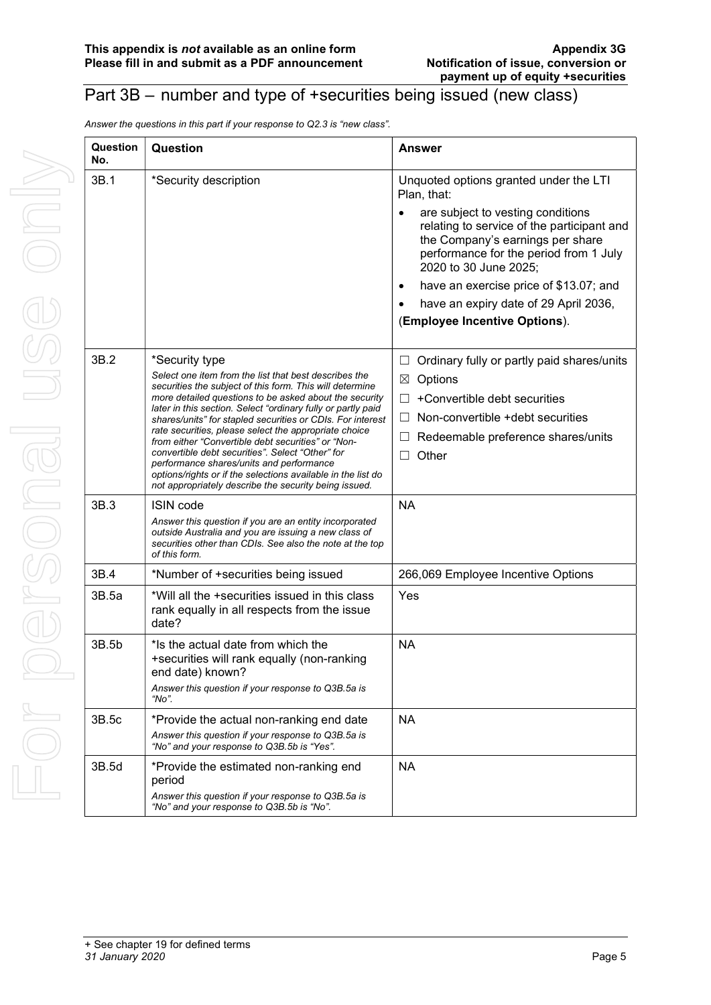### Part 3B – number and type of +securities being issued (new class)

Answer the questions in this part if your response to Q2.3 is "new class".

| Question<br>No. | Question                                                                                                                                                                                                                                                                                                                                                                                                                                                                                                                                                                                                                                                            | Answer                                                                                                                                                                                                                                                                                                                                                                        |
|-----------------|---------------------------------------------------------------------------------------------------------------------------------------------------------------------------------------------------------------------------------------------------------------------------------------------------------------------------------------------------------------------------------------------------------------------------------------------------------------------------------------------------------------------------------------------------------------------------------------------------------------------------------------------------------------------|-------------------------------------------------------------------------------------------------------------------------------------------------------------------------------------------------------------------------------------------------------------------------------------------------------------------------------------------------------------------------------|
| 3B.1            | *Security description                                                                                                                                                                                                                                                                                                                                                                                                                                                                                                                                                                                                                                               | Unquoted options granted under the LTI<br>Plan, that:<br>are subject to vesting conditions<br>٠<br>relating to service of the participant and<br>the Company's earnings per share<br>performance for the period from 1 July<br>2020 to 30 June 2025;<br>have an exercise price of \$13.07; and<br>٠<br>have an expiry date of 29 April 2036,<br>(Employee Incentive Options). |
| 3B.2            | *Security type<br>Select one item from the list that best describes the<br>securities the subject of this form. This will determine<br>more detailed questions to be asked about the security<br>later in this section. Select "ordinary fully or partly paid<br>shares/units" for stapled securities or CDIs. For interest<br>rate securities, please select the appropriate choice<br>from either "Convertible debt securities" or "Non-<br>convertible debt securities". Select "Other" for<br>performance shares/units and performance<br>options/rights or if the selections available in the list do<br>not appropriately describe the security being issued. | Ordinary fully or partly paid shares/units<br>$\Box$<br>Options<br>$\boxtimes$<br>+Convertible debt securities<br>$\Box$<br>Non-convertible + debt securities<br>$\perp$<br>Redeemable preference shares/units<br>$\Box$<br>Other<br>$\Box$                                                                                                                                   |
| 3B.3            | ISIN code<br>Answer this question if you are an entity incorporated<br>outside Australia and you are issuing a new class of<br>securities other than CDIs. See also the note at the top<br>of this form.                                                                                                                                                                                                                                                                                                                                                                                                                                                            | <b>NA</b>                                                                                                                                                                                                                                                                                                                                                                     |
| 3B.4            | *Number of +securities being issued                                                                                                                                                                                                                                                                                                                                                                                                                                                                                                                                                                                                                                 | 266,069 Employee Incentive Options                                                                                                                                                                                                                                                                                                                                            |
| 3B.5a           | *Will all the +securities issued in this class<br>rank equally in all respects from the issue<br>date?                                                                                                                                                                                                                                                                                                                                                                                                                                                                                                                                                              | Yes                                                                                                                                                                                                                                                                                                                                                                           |
| 3B.5b           | *Is the actual date from which the<br>+securities will rank equally (non-ranking<br>end date) known?<br>Answer this question if your response to Q3B.5a is<br>"No".                                                                                                                                                                                                                                                                                                                                                                                                                                                                                                 | <b>NA</b>                                                                                                                                                                                                                                                                                                                                                                     |
| 3B.5c           | *Provide the actual non-ranking end date<br>Answer this question if your response to Q3B.5a is<br>"No" and your response to Q3B.5b is "Yes".                                                                                                                                                                                                                                                                                                                                                                                                                                                                                                                        | <b>NA</b>                                                                                                                                                                                                                                                                                                                                                                     |
| 3B.5d           | *Provide the estimated non-ranking end<br>period<br>Answer this question if your response to Q3B.5a is<br>"No" and your response to Q3B 5b is "No".                                                                                                                                                                                                                                                                                                                                                                                                                                                                                                                 | <b>NA</b>                                                                                                                                                                                                                                                                                                                                                                     |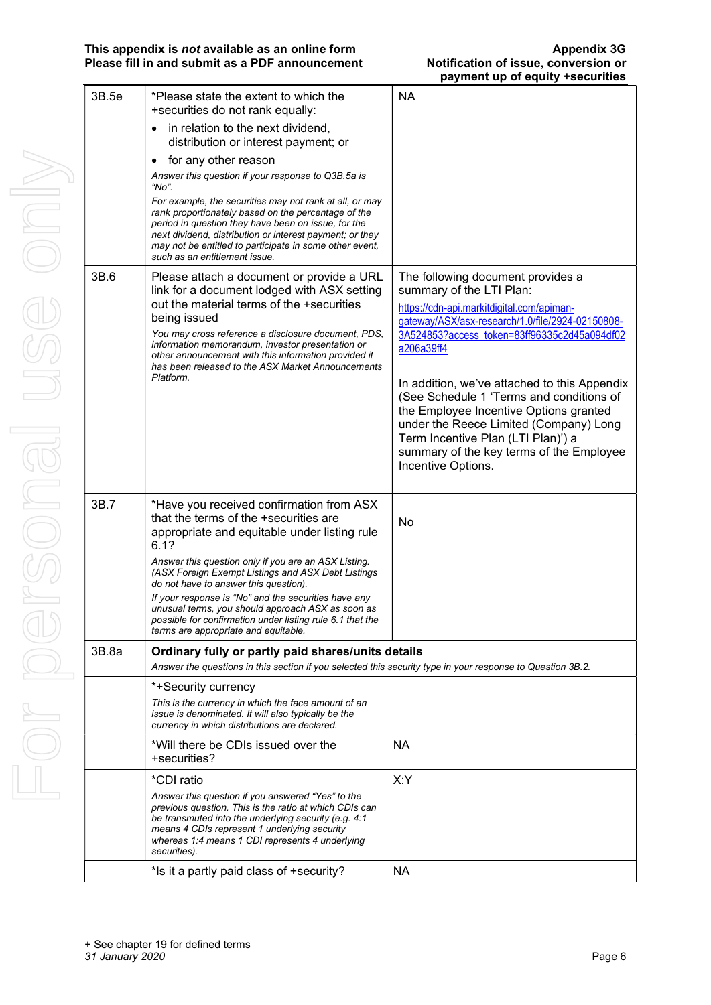| 3B.5e | *Please state the extent to which the<br>+securities do not rank equally:                                                                                                                                                                                                                                                     | <b>NA</b>                                                                                        |
|-------|-------------------------------------------------------------------------------------------------------------------------------------------------------------------------------------------------------------------------------------------------------------------------------------------------------------------------------|--------------------------------------------------------------------------------------------------|
|       | in relation to the next dividend,<br>$\bullet$<br>distribution or interest payment; or                                                                                                                                                                                                                                        |                                                                                                  |
|       | for any other reason<br>$\bullet$                                                                                                                                                                                                                                                                                             |                                                                                                  |
|       | Answer this question if your response to Q3B.5a is<br>"No".                                                                                                                                                                                                                                                                   |                                                                                                  |
|       | For example, the securities may not rank at all, or may<br>rank proportionately based on the percentage of the<br>period in question they have been on issue, for the<br>next dividend, distribution or interest payment; or they<br>may not be entitled to participate in some other event,<br>such as an entitlement issue. |                                                                                                  |
| 3B.6  | Please attach a document or provide a URL                                                                                                                                                                                                                                                                                     | The following document provides a                                                                |
|       | link for a document lodged with ASX setting                                                                                                                                                                                                                                                                                   | summary of the LTI Plan:                                                                         |
|       | out the material terms of the +securities<br>being issued                                                                                                                                                                                                                                                                     | https://cdn-api.markitdigital.com/apiman-                                                        |
|       | You may cross reference a disclosure document, PDS,                                                                                                                                                                                                                                                                           | gateway/ASX/asx-research/1.0/file/2924-02150808-<br>3A524853?access_token=83ff96335c2d45a094df02 |
|       | information memorandum, investor presentation or<br>other announcement with this information provided it<br>has been released to the ASX Market Announcements                                                                                                                                                                 | a206a39ff4                                                                                       |
|       | Platform.                                                                                                                                                                                                                                                                                                                     | In addition, we've attached to this Appendix                                                     |
|       |                                                                                                                                                                                                                                                                                                                               | (See Schedule 1 'Terms and conditions of                                                         |
|       |                                                                                                                                                                                                                                                                                                                               | the Employee Incentive Options granted                                                           |
|       |                                                                                                                                                                                                                                                                                                                               | under the Reece Limited (Company) Long<br>Term Incentive Plan (LTI Plan)') a                     |
|       |                                                                                                                                                                                                                                                                                                                               | summary of the key terms of the Employee                                                         |
|       |                                                                                                                                                                                                                                                                                                                               | Incentive Options.                                                                               |
|       |                                                                                                                                                                                                                                                                                                                               |                                                                                                  |
| 3B.7  | *Have you received confirmation from ASX<br>that the terms of the +securities are<br>appropriate and equitable under listing rule                                                                                                                                                                                             | No                                                                                               |
|       | 6.1?                                                                                                                                                                                                                                                                                                                          |                                                                                                  |
|       | Answer this question only if you are an ASX Listing.<br>(ASX Foreign Exempt Listings and ASX Debt Listings<br>do not have to answer this question).                                                                                                                                                                           |                                                                                                  |
|       | If your response is "No" and the securities have any<br>unusual terms, you should approach ASX as soon as                                                                                                                                                                                                                     |                                                                                                  |
|       | possible for confirmation under listing rule 6.1 that the<br>terms are appropriate and equitable.                                                                                                                                                                                                                             |                                                                                                  |
| 3B.8a | Ordinary fully or partly paid shares/units details                                                                                                                                                                                                                                                                            |                                                                                                  |
|       | Answer the questions in this section if you selected this security type in your response to Question 3B.2.                                                                                                                                                                                                                    |                                                                                                  |
|       | *+Security currency                                                                                                                                                                                                                                                                                                           |                                                                                                  |
|       | This is the currency in which the face amount of an<br>issue is denominated. It will also typically be the<br>currency in which distributions are declared.                                                                                                                                                                   |                                                                                                  |
|       | *Will there be CDIs issued over the<br>+securities?                                                                                                                                                                                                                                                                           | <b>NA</b>                                                                                        |
|       | *CDI ratio                                                                                                                                                                                                                                                                                                                    | X:Y                                                                                              |
|       | Answer this question if you answered "Yes" to the                                                                                                                                                                                                                                                                             |                                                                                                  |
|       | previous question. This is the ratio at which CDIs can<br>be transmuted into the underlying security (e.g. 4:1<br>means 4 CDIs represent 1 underlying security<br>whereas 1:4 means 1 CDI represents 4 underlying                                                                                                             |                                                                                                  |
|       | securities).                                                                                                                                                                                                                                                                                                                  |                                                                                                  |
|       | *Is it a partly paid class of +security?                                                                                                                                                                                                                                                                                      | NA                                                                                               |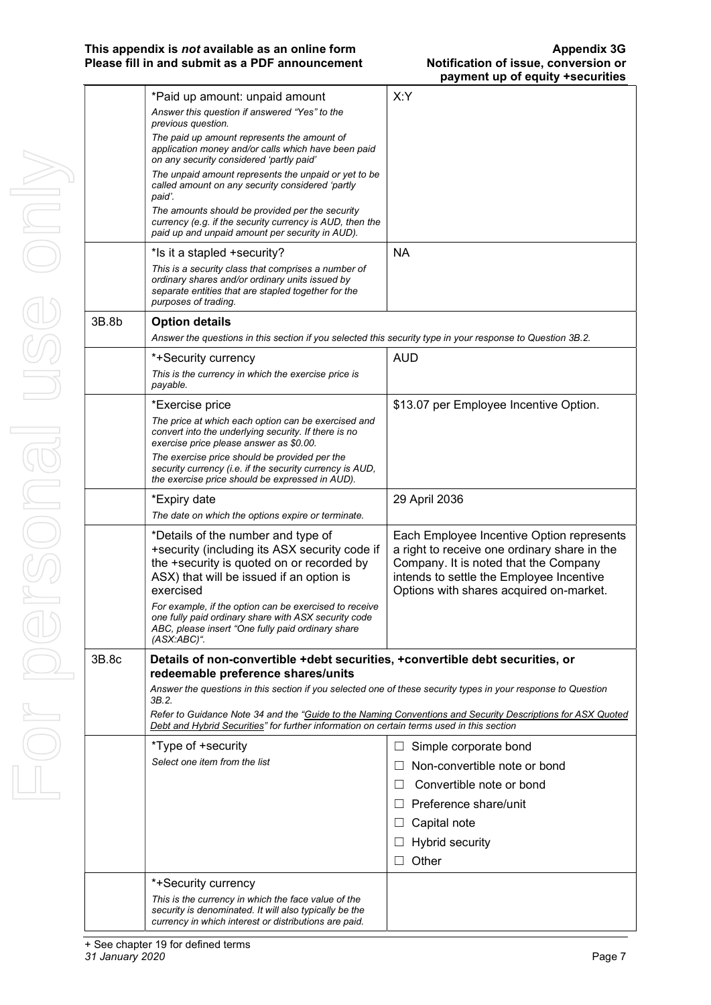#### This appendix is *not* available as an online form<br>Please fill in and submit as a PDF announcement **Appendix 1996** Notification of issue, conversion or Please fill in and submit as a PDF announcement

|       | *Paid up amount: unpaid amount                                                                                                                                                                          | X:Y                                                                                                                                                                                                                       |
|-------|---------------------------------------------------------------------------------------------------------------------------------------------------------------------------------------------------------|---------------------------------------------------------------------------------------------------------------------------------------------------------------------------------------------------------------------------|
|       | Answer this question if answered "Yes" to the<br>previous question.                                                                                                                                     |                                                                                                                                                                                                                           |
|       | The paid up amount represents the amount of<br>application money and/or calls which have been paid<br>on any security considered 'partly paid'                                                          |                                                                                                                                                                                                                           |
|       | The unpaid amount represents the unpaid or yet to be<br>called amount on any security considered 'partly<br>paid'.                                                                                      |                                                                                                                                                                                                                           |
|       | The amounts should be provided per the security<br>currency (e.g. if the security currency is AUD, then the<br>paid up and unpaid amount per security in AUD).                                          |                                                                                                                                                                                                                           |
|       | *Is it a stapled +security?                                                                                                                                                                             | <b>NA</b>                                                                                                                                                                                                                 |
|       | This is a security class that comprises a number of<br>ordinary shares and/or ordinary units issued by<br>separate entities that are stapled together for the<br>purposes of trading.                   |                                                                                                                                                                                                                           |
| 3B.8b | <b>Option details</b>                                                                                                                                                                                   |                                                                                                                                                                                                                           |
|       | Answer the questions in this section if you selected this security type in your response to Question 3B.2.                                                                                              |                                                                                                                                                                                                                           |
|       | *+Security currency<br>This is the currency in which the exercise price is<br>payable.                                                                                                                  | <b>AUD</b>                                                                                                                                                                                                                |
|       | *Exercise price                                                                                                                                                                                         | \$13.07 per Employee Incentive Option.                                                                                                                                                                                    |
|       | The price at which each option can be exercised and<br>convert into the underlying security. If there is no<br>exercise price please answer as \$0.00.<br>The exercise price should be provided per the |                                                                                                                                                                                                                           |
|       | security currency (i.e. if the security currency is AUD,<br>the exercise price should be expressed in AUD).                                                                                             |                                                                                                                                                                                                                           |
|       | *Expiry date                                                                                                                                                                                            | 29 April 2036                                                                                                                                                                                                             |
|       | The date on which the options expire or terminate.                                                                                                                                                      |                                                                                                                                                                                                                           |
|       | *Details of the number and type of<br>+security (including its ASX security code if<br>the +security is quoted on or recorded by<br>ASX) that will be issued if an option is<br>exercised               | Each Employee Incentive Option represents<br>a right to receive one ordinary share in the<br>Company. It is noted that the Company<br>intends to settle the Employee Incentive<br>Options with shares acquired on-market. |
|       | For example, if the option can be exercised to receive<br>one fully paid ordinary share with ASX security code<br>ABC, please insert "One fully paid ordinary share<br>$(ASX:ABC)^{n}$ .                |                                                                                                                                                                                                                           |
| 3B.8c | Details of non-convertible +debt securities, +convertible debt securities, or<br>redeemable preference shares/units                                                                                     |                                                                                                                                                                                                                           |
|       | Answer the questions in this section if you selected one of these security types in your response to Question                                                                                           |                                                                                                                                                                                                                           |
|       | 3B.2.<br>Debt and Hybrid Securities" for further information on certain terms used in this section                                                                                                      | Refer to Guidance Note 34 and the "Guide to the Naming Conventions and Security Descriptions for ASX Quoted                                                                                                               |
|       | *Type of +security                                                                                                                                                                                      | Simple corporate bond<br>$\perp$                                                                                                                                                                                          |
|       | Select one item from the list                                                                                                                                                                           | Non-convertible note or bond                                                                                                                                                                                              |
|       |                                                                                                                                                                                                         | Convertible note or bond<br>$\perp$                                                                                                                                                                                       |
|       |                                                                                                                                                                                                         | Preference share/unit                                                                                                                                                                                                     |
|       |                                                                                                                                                                                                         | Capital note                                                                                                                                                                                                              |
|       |                                                                                                                                                                                                         | <b>Hybrid security</b>                                                                                                                                                                                                    |
|       |                                                                                                                                                                                                         | Other<br>$\perp$                                                                                                                                                                                                          |
|       | *+Security currency                                                                                                                                                                                     |                                                                                                                                                                                                                           |
|       | This is the currency in which the face value of the                                                                                                                                                     |                                                                                                                                                                                                                           |
|       | security is denominated. It will also typically be the<br>currency in which interest or distributions are paid.                                                                                         |                                                                                                                                                                                                                           |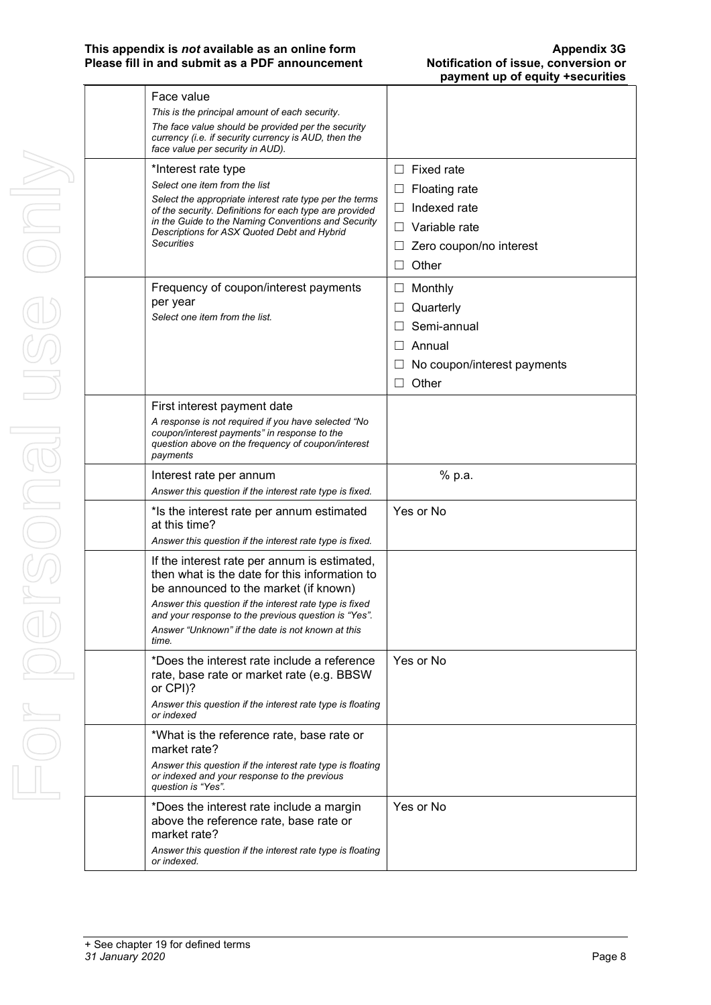#### This appendix is *not* available as an online form<br>Please fill in and submit as a PDF announcement **Appendix 3G**<br>Notification of issue, conversion or Please fill in and submit as a PDF announcement

| Face value<br>This is the principal amount of each security.<br>The face value should be provided per the security                                                                                                                                                                                                      |                                                                                                                                                   |
|-------------------------------------------------------------------------------------------------------------------------------------------------------------------------------------------------------------------------------------------------------------------------------------------------------------------------|---------------------------------------------------------------------------------------------------------------------------------------------------|
| currency (i.e. if security currency is AUD, then the<br>face value per security in AUD).                                                                                                                                                                                                                                |                                                                                                                                                   |
| *Interest rate type<br>Select one item from the list<br>Select the appropriate interest rate type per the terms<br>of the security. Definitions for each type are provided<br>in the Guide to the Naming Conventions and Security<br>Descriptions for ASX Quoted Debt and Hybrid<br><b>Securities</b>                   | Fixed rate<br>$\perp$<br><b>Floating rate</b><br>$\Box$<br>Indexed rate<br>П<br>Variable rate<br>$\perp$<br>Zero coupon/no interest<br>Other<br>П |
| Frequency of coupon/interest payments<br>per year<br>Select one item from the list.                                                                                                                                                                                                                                     | Monthly<br>$\Box$<br>Quarterly<br>$\Box$<br>Semi-annual<br>Annual<br>$\mathsf{L}$<br>No coupon/interest payments<br>Other                         |
| First interest payment date<br>A response is not required if you have selected "No<br>coupon/interest payments" in response to the<br>question above on the frequency of coupon/interest<br>payments                                                                                                                    |                                                                                                                                                   |
| Interest rate per annum<br>Answer this question if the interest rate type is fixed.                                                                                                                                                                                                                                     | % p.a.                                                                                                                                            |
| *Is the interest rate per annum estimated<br>at this time?<br>Answer this question if the interest rate type is fixed.                                                                                                                                                                                                  | Yes or No                                                                                                                                         |
| If the interest rate per annum is estimated,<br>then what is the date for this information to<br>be announced to the market (if known)<br>Answer this question if the interest rate type is fixed<br>and your response to the previous question is "Yes".<br>Answer "Unknown" if the date is not known at this<br>time. |                                                                                                                                                   |
| *Does the interest rate include a reference<br>rate, base rate or market rate (e.g. BBSW<br>or CPI)?<br>Answer this question if the interest rate type is floating<br>or indexed                                                                                                                                        | Yes or No                                                                                                                                         |
| *What is the reference rate, base rate or<br>market rate?<br>Answer this question if the interest rate type is floating<br>or indexed and your response to the previous<br>question is "Yes".                                                                                                                           |                                                                                                                                                   |
| *Does the interest rate include a margin<br>above the reference rate, base rate or<br>market rate?<br>Answer this question if the interest rate type is floating<br>or indexed.                                                                                                                                         | Yes or No                                                                                                                                         |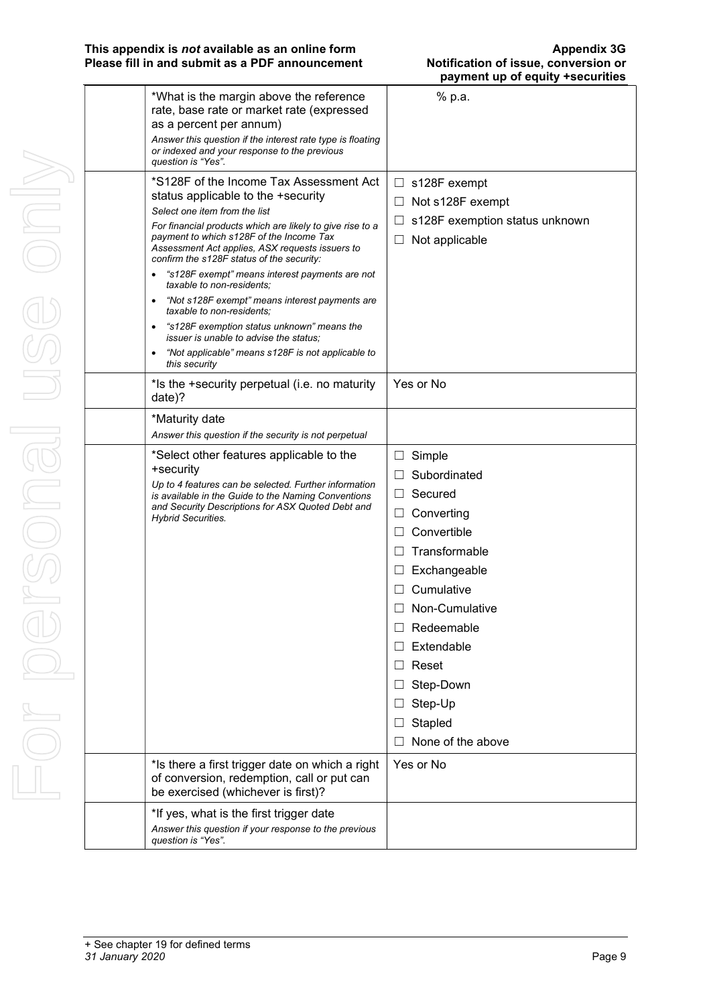#### This appendix is *not* available as an online form<br>Please fill in and submit as a PDF announcement **Appendix 1996** Notification of issue, conversion or Please fill in and submit as a PDF announcement

|  |                                                                                                                                                                                                                                                                                                                                                                                                                     | paymont up or equity<br><u>. aecariusa</u>                                                           |
|--|---------------------------------------------------------------------------------------------------------------------------------------------------------------------------------------------------------------------------------------------------------------------------------------------------------------------------------------------------------------------------------------------------------------------|------------------------------------------------------------------------------------------------------|
|  | *What is the margin above the reference<br>rate, base rate or market rate (expressed<br>as a percent per annum)<br>Answer this question if the interest rate type is floating                                                                                                                                                                                                                                       | % p.a.                                                                                               |
|  | or indexed and your response to the previous<br>question is "Yes".                                                                                                                                                                                                                                                                                                                                                  |                                                                                                      |
|  | *S128F of the Income Tax Assessment Act<br>status applicable to the +security<br>Select one item from the list<br>For financial products which are likely to give rise to a<br>payment to which s128F of the Income Tax<br>Assessment Act applies, ASX requests issuers to<br>confirm the s128F status of the security:<br>"s128F exempt" means interest payments are not<br>$\bullet$<br>taxable to non-residents; | s128F exempt<br>⊔.<br>Not s128F exempt<br>⊔<br>s128F exemption status unknown<br>Not applicable<br>П |
|  | "Not s128F exempt" means interest payments are<br>٠<br>taxable to non-residents:                                                                                                                                                                                                                                                                                                                                    |                                                                                                      |
|  | "s128F exemption status unknown" means the<br>$\bullet$<br><i>issuer is unable to advise the status:</i>                                                                                                                                                                                                                                                                                                            |                                                                                                      |
|  | "Not applicable" means s128F is not applicable to<br>$\bullet$<br>this security                                                                                                                                                                                                                                                                                                                                     |                                                                                                      |
|  | *Is the +security perpetual (i.e. no maturity<br>date)?                                                                                                                                                                                                                                                                                                                                                             | Yes or No                                                                                            |
|  | *Maturity date                                                                                                                                                                                                                                                                                                                                                                                                      |                                                                                                      |
|  | Answer this question if the security is not perpetual                                                                                                                                                                                                                                                                                                                                                               |                                                                                                      |
|  | *Select other features applicable to the                                                                                                                                                                                                                                                                                                                                                                            | Simple<br>⊔                                                                                          |
|  | +security<br>Up to 4 features can be selected. Further information<br>is available in the Guide to the Naming Conventions<br>and Security Descriptions for ASX Quoted Debt and<br><b>Hybrid Securities.</b>                                                                                                                                                                                                         | Subordinated<br>$\perp$                                                                              |
|  |                                                                                                                                                                                                                                                                                                                                                                                                                     | Secured<br>ш                                                                                         |
|  |                                                                                                                                                                                                                                                                                                                                                                                                                     | Converting<br>ப                                                                                      |
|  |                                                                                                                                                                                                                                                                                                                                                                                                                     | Convertible<br>$\Box$                                                                                |
|  |                                                                                                                                                                                                                                                                                                                                                                                                                     | Transformable                                                                                        |
|  |                                                                                                                                                                                                                                                                                                                                                                                                                     | Exchangeable<br>⊔                                                                                    |
|  |                                                                                                                                                                                                                                                                                                                                                                                                                     | Cumulative                                                                                           |
|  |                                                                                                                                                                                                                                                                                                                                                                                                                     | Non-Cumulative                                                                                       |
|  |                                                                                                                                                                                                                                                                                                                                                                                                                     | Redeemable                                                                                           |
|  |                                                                                                                                                                                                                                                                                                                                                                                                                     | Extendable<br>ப                                                                                      |
|  |                                                                                                                                                                                                                                                                                                                                                                                                                     | Reset<br>$\perp$                                                                                     |
|  |                                                                                                                                                                                                                                                                                                                                                                                                                     | Step-Down                                                                                            |
|  |                                                                                                                                                                                                                                                                                                                                                                                                                     | Step-Up                                                                                              |
|  |                                                                                                                                                                                                                                                                                                                                                                                                                     | Stapled                                                                                              |
|  |                                                                                                                                                                                                                                                                                                                                                                                                                     | None of the above                                                                                    |
|  | *Is there a first trigger date on which a right<br>of conversion, redemption, call or put can<br>be exercised (whichever is first)?                                                                                                                                                                                                                                                                                 | Yes or No                                                                                            |
|  | *If yes, what is the first trigger date<br>Answer this question if your response to the previous<br>question is "Yes".                                                                                                                                                                                                                                                                                              |                                                                                                      |
|  |                                                                                                                                                                                                                                                                                                                                                                                                                     |                                                                                                      |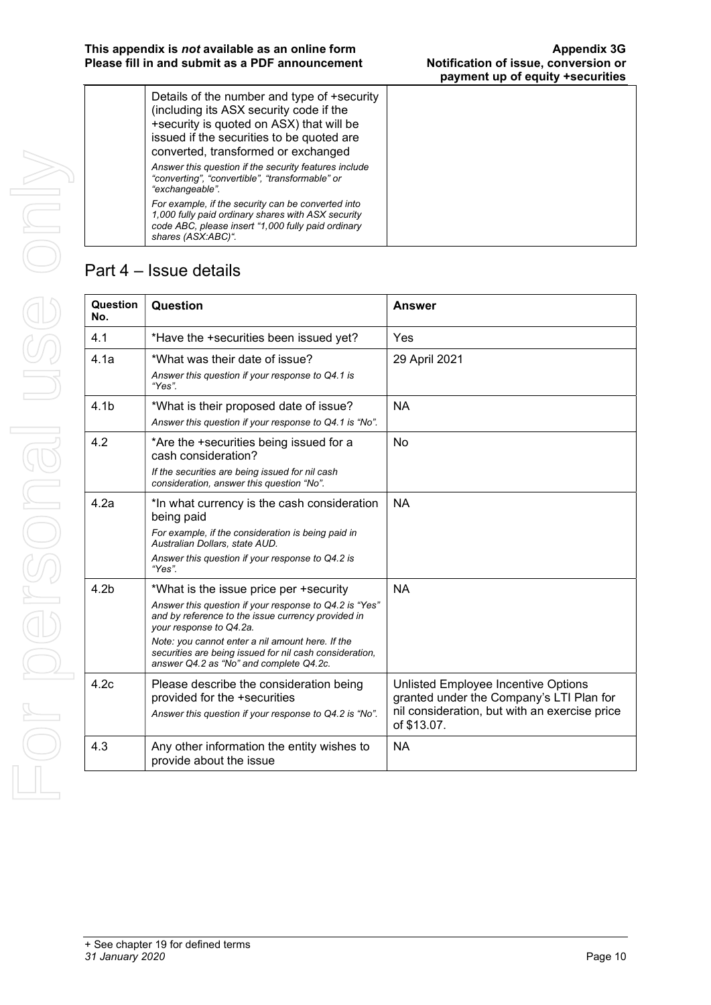| Details of the number and type of +security<br>(including its ASX security code if the<br>+security is quoted on ASX) that will be<br>issued if the securities to be quoted are<br>converted, transformed or exchanged |  |  |
|------------------------------------------------------------------------------------------------------------------------------------------------------------------------------------------------------------------------|--|--|
| Answer this question if the security features include<br>"converting", "convertible", "transformable" or<br>"exchangeable".                                                                                            |  |  |
| For example, if the security can be converted into<br>1,000 fully paid ordinary shares with ASX security<br>code ABC, please insert "1,000 fully paid ordinary<br>shares (ASX:ABC)".                                   |  |  |

## Part 4 – Issue details

| Question<br>No.  | Question                                                                                                                                                                                                                                                                                                                                    | <b>Answer</b>                                                                                                                                   |
|------------------|---------------------------------------------------------------------------------------------------------------------------------------------------------------------------------------------------------------------------------------------------------------------------------------------------------------------------------------------|-------------------------------------------------------------------------------------------------------------------------------------------------|
| 4.1              | *Have the +securities been issued yet?                                                                                                                                                                                                                                                                                                      | Yes                                                                                                                                             |
| 4.1a             | *What was their date of issue?<br>Answer this question if your response to Q4.1 is<br>"Yes".                                                                                                                                                                                                                                                | 29 April 2021                                                                                                                                   |
| 4.1 <sub>b</sub> | *What is their proposed date of issue?<br>Answer this question if your response to Q4.1 is "No".                                                                                                                                                                                                                                            | <b>NA</b>                                                                                                                                       |
| 4.2              | *Are the +securities being issued for a<br>cash consideration?<br>If the securities are being issued for nil cash<br>consideration, answer this question "No".                                                                                                                                                                              | No                                                                                                                                              |
| 4.2a             | *In what currency is the cash consideration<br>being paid<br>For example, if the consideration is being paid in<br>Australian Dollars, state AUD.<br>Answer this question if your response to Q4.2 is<br>"Yes".                                                                                                                             | <b>NA</b>                                                                                                                                       |
| 4.2 <sub>b</sub> | *What is the issue price per +security<br>Answer this question if your response to Q4.2 is "Yes"<br>and by reference to the issue currency provided in<br>your response to Q4.2a.<br>Note: you cannot enter a nil amount here. If the<br>securities are being issued for nil cash consideration,<br>answer Q4.2 as "No" and complete Q4.2c. | <b>NA</b>                                                                                                                                       |
| 4.2c             | Please describe the consideration being<br>provided for the +securities<br>Answer this question if your response to Q4.2 is "No".                                                                                                                                                                                                           | Unlisted Employee Incentive Options<br>granted under the Company's LTI Plan for<br>nil consideration, but with an exercise price<br>of \$13.07. |
| 4.3              | Any other information the entity wishes to<br>provide about the issue                                                                                                                                                                                                                                                                       | <b>NA</b>                                                                                                                                       |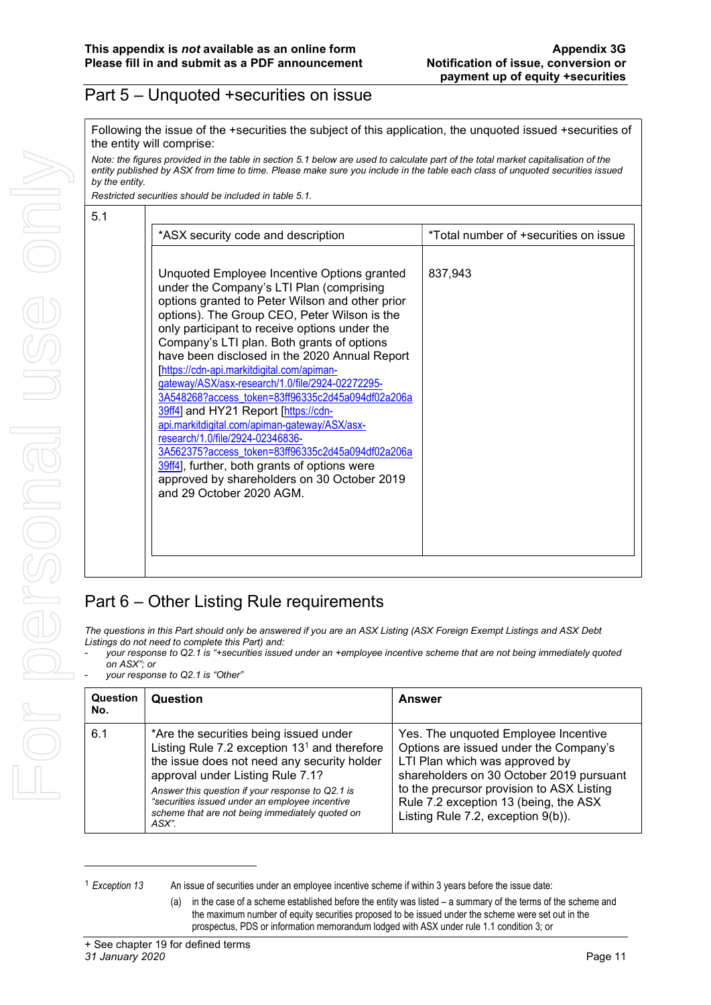### Part 5 – Unquoted +securities on issue

Following the issue of the +securities the subject of this application, the unquoted issued +securities of the entity will comprise:

Note: the figures provided in the table in section 5.1 below are used to calculate part of the total market capitalisation of the entity published by ASX from time to time. Please make sure you include in the table each class of unquoted securities issued by the entity.

Restricted securities should be included in table 5.1.

| *ASX security code and description                                                                                                                                                                                                                                                                                                                                                                                                                                                                                                                                                                                                                                                                                                                                                                             | *Total number of +securities on issue |
|----------------------------------------------------------------------------------------------------------------------------------------------------------------------------------------------------------------------------------------------------------------------------------------------------------------------------------------------------------------------------------------------------------------------------------------------------------------------------------------------------------------------------------------------------------------------------------------------------------------------------------------------------------------------------------------------------------------------------------------------------------------------------------------------------------------|---------------------------------------|
| Unquoted Employee Incentive Options granted<br>under the Company's LTI Plan (comprising<br>options granted to Peter Wilson and other prior<br>options). The Group CEO, Peter Wilson is the<br>only participant to receive options under the<br>Company's LTI plan. Both grants of options<br>have been disclosed in the 2020 Annual Report<br>[https://cdn-api.markitdigital.com/apiman-<br>gateway/ASX/asx-research/1.0/file/2924-02272295-<br>3A548268?access token=83ff96335c2d45a094df02a206a<br>39ff4] and HY21 Report [https://cdn-<br>api.markitdigital.com/apiman-gateway/ASX/asx-<br>research/1.0/file/2924-02346836-<br>3A562375?access token=83ff96335c2d45a094df02a206a<br>39ff4], further, both grants of options were<br>approved by shareholders on 30 October 2019<br>and 29 October 2020 AGM. | 837.943                               |

## Part 6 – Other Listing Rule requirements

The questions in this Part should only be answered if you are an ASX Listing (ASX Foreign Exempt Listings and ASX Debt Listings do not need to complete this Part) and:

- your response to Q2.1 is "+securities issued under an +employee incentive scheme that are not being immediately quoted on ASX"; or
- your response to Q2.1 is "Other"

| <b>Question</b><br>No. | Question                                                                                                                                                                                                                                                                                                                                      | Answer                                                                                                                                                                                                                                                                                   |
|------------------------|-----------------------------------------------------------------------------------------------------------------------------------------------------------------------------------------------------------------------------------------------------------------------------------------------------------------------------------------------|------------------------------------------------------------------------------------------------------------------------------------------------------------------------------------------------------------------------------------------------------------------------------------------|
| 6.1                    | *Are the securities being issued under<br>Listing Rule 7.2 exception $131$ and therefore<br>the issue does not need any security holder<br>approval under Listing Rule 7.1?<br>Answer this question if your response to Q2.1 is<br>"securities issued under an employee incentive<br>scheme that are not being immediately quoted on<br>ASX". | Yes. The unquoted Employee Incentive<br>Options are issued under the Company's<br>LTI Plan which was approved by<br>shareholders on 30 October 2019 pursuant<br>to the precursor provision to ASX Listing<br>Rule 7.2 exception 13 (being, the ASX<br>Listing Rule 7.2, exception 9(b)). |

<sup>1</sup> Exception 13 An issue of securities under an employee incentive scheme if within 3 years before the issue date:

<sup>(</sup>a) in the case of a scheme established before the entity was listed – a summary of the terms of the scheme and the maximum number of equity securities proposed to be issued under the scheme were set out in the prospectus, PDS or information memorandum lodged with ASX under rule 1.1 condition 3; or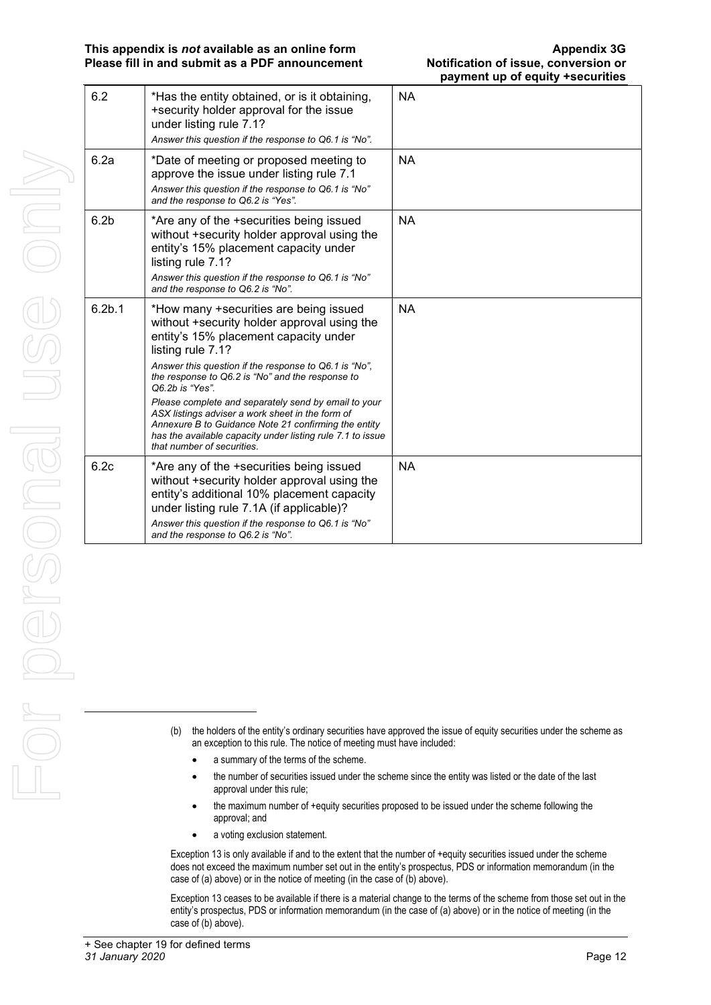| 6.2                | *Has the entity obtained, or is it obtaining,<br>+security holder approval for the issue<br>under listing rule 7.1?<br>Answer this question if the response to Q6.1 is "No".                                                                                                                                                                                                                                                                                                                                                                        | NA        |
|--------------------|-----------------------------------------------------------------------------------------------------------------------------------------------------------------------------------------------------------------------------------------------------------------------------------------------------------------------------------------------------------------------------------------------------------------------------------------------------------------------------------------------------------------------------------------------------|-----------|
| 6.2a               | *Date of meeting or proposed meeting to<br>approve the issue under listing rule 7.1<br>Answer this question if the response to Q6.1 is "No"<br>and the response to Q6.2 is "Yes".                                                                                                                                                                                                                                                                                                                                                                   | <b>NA</b> |
| 6.2 <sub>b</sub>   | *Are any of the +securities being issued<br>without +security holder approval using the<br>entity's 15% placement capacity under<br>listing rule 7.1?<br>Answer this question if the response to Q6.1 is "No"<br>and the response to Q6.2 is "No".                                                                                                                                                                                                                                                                                                  | NA.       |
| 6.2 <sub>b.1</sub> | *How many +securities are being issued<br>without +security holder approval using the<br>entity's 15% placement capacity under<br>listing rule 7.1?<br>Answer this question if the response to Q6.1 is "No",<br>the response to Q6.2 is "No" and the response to<br>Q6.2b is "Yes".<br>Please complete and separately send by email to your<br>ASX listings adviser a work sheet in the form of<br>Annexure B to Guidance Note 21 confirming the entity<br>has the available capacity under listing rule 7.1 to issue<br>that number of securities. | <b>NA</b> |
| 6.2c               | *Are any of the +securities being issued<br>without +security holder approval using the<br>entity's additional 10% placement capacity<br>under listing rule 7.1A (if applicable)?<br>Answer this question if the response to Q6.1 is "No"<br>and the response to Q6.2 is "No".                                                                                                                                                                                                                                                                      | NA.       |

- (b) the holders of the entity's ordinary securities have approved the issue of equity securities under the scheme as an exception to this rule. The notice of meeting must have included:
	- a summary of the terms of the scheme.
	- the number of securities issued under the scheme since the entity was listed or the date of the last approval under this rule;
	- the maximum number of +equity securities proposed to be issued under the scheme following the approval; and
	- a voting exclusion statement.

Exception 13 is only available if and to the extent that the number of +equity securities issued under the scheme does not exceed the maximum number set out in the entity's prospectus, PDS or information memorandum (in the case of (a) above) or in the notice of meeting (in the case of (b) above).

Exception 13 ceases to be available if there is a material change to the terms of the scheme from those set out in the entity's prospectus, PDS or information memorandum (in the case of (a) above) or in the notice of meeting (in the case of (b) above).